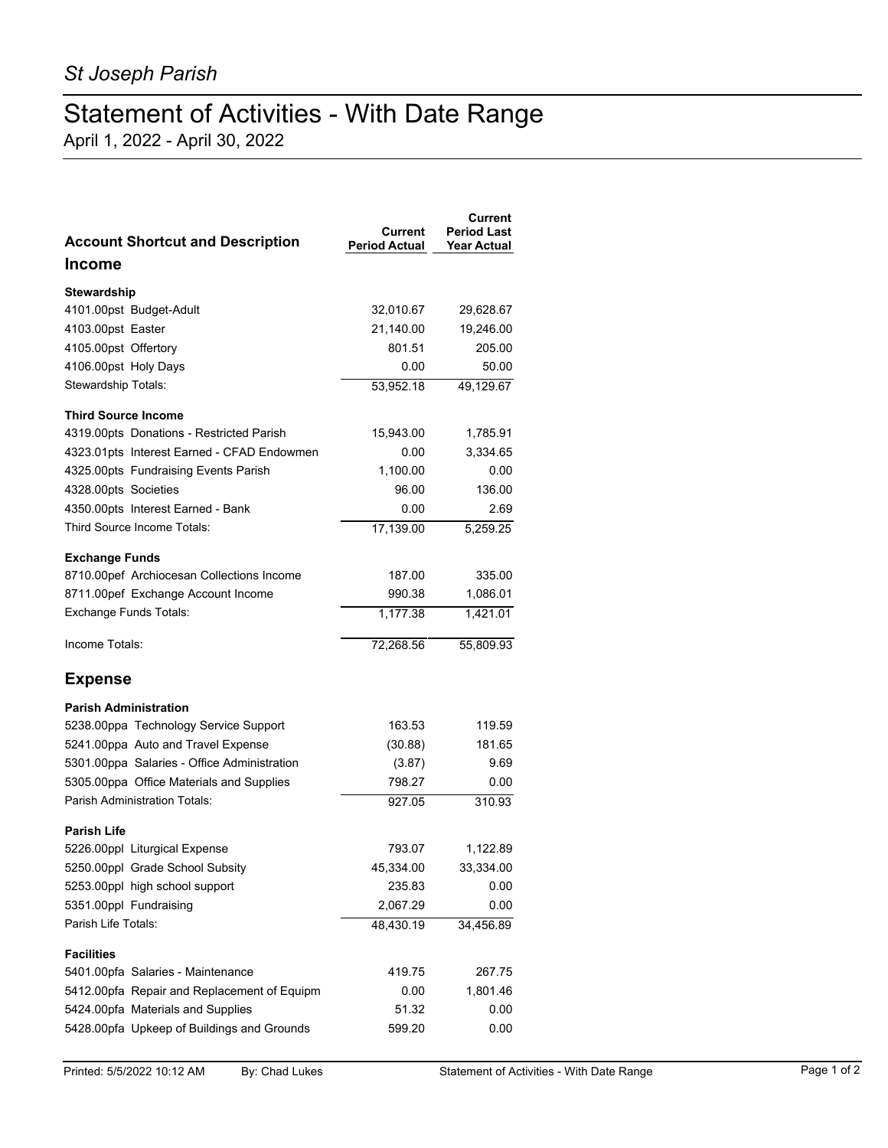## Statement of Activities - With Date Range

April 1, 2022 - April 30, 2022

| <b>Account Shortcut and Description</b>     | Current<br><b>Period Actual</b> | Current<br><b>Period Last</b><br><b>Year Actual</b> |
|---------------------------------------------|---------------------------------|-----------------------------------------------------|
| Income                                      |                                 |                                                     |
| Stewardship                                 |                                 |                                                     |
| 4101.00pst Budget-Adult                     | 32,010.67                       | 29,628.67                                           |
| 4103.00pst Easter                           | 21,140.00                       | 19,246.00                                           |
| 4105.00pst Offertory                        | 801.51                          | 205.00                                              |
| 4106.00pst Holy Days                        | 0.00                            | 50.00                                               |
| Stewardship Totals:                         | 53,952.18                       | 49,129.67                                           |
| <b>Third Source Income</b>                  |                                 |                                                     |
| 4319.00pts Donations - Restricted Parish    | 15,943.00                       | 1,785.91                                            |
| 4323.01pts Interest Earned - CFAD Endowmen  | 0.00                            | 3,334.65                                            |
| 4325.00pts Fundraising Events Parish        | 1,100.00                        | 0.00                                                |
| 4328.00pts Societies                        | 96.00                           | 136.00                                              |
| 4350.00pts Interest Earned - Bank           | 0.00                            | 2.69                                                |
| Third Source Income Totals:                 | 17,139.00                       | 5,259.25                                            |
| <b>Exchange Funds</b>                       |                                 |                                                     |
| 8710.00pef Archiocesan Collections Income   | 187.00                          | 335.00                                              |
| 8711.00pef Exchange Account Income          | 990.38                          | 1,086.01                                            |
| <b>Exchange Funds Totals:</b>               | 1,177.38                        | 1,421.01                                            |
| Income Totals:                              | 72,268.56                       | 55,809.93                                           |
| <b>Expense</b>                              |                                 |                                                     |
| <b>Parish Administration</b>                |                                 |                                                     |
| 5238.00ppa Technology Service Support       | 163.53                          | 119.59                                              |
| 5241.00ppa Auto and Travel Expense          | (30.88)                         | 181.65                                              |
| 5301.00ppa Salaries - Office Administration | (3.87)                          | 9.69                                                |
| 5305.00ppa Office Materials and Supplies    | 798.27                          | 0.00                                                |
| Parish Administration Totals:               | 927.05                          | 310.93                                              |
| Parish Life                                 |                                 |                                                     |
| 5226.00ppl Liturgical Expense               | 793.07                          | 1,122.89                                            |
| 5250.00ppl Grade School Subsity             | 45,334.00                       | 33,334.00                                           |
| 5253.00ppl high school support              | 235.83                          | 0.00                                                |
| 5351.00ppl Fundraising                      | 2,067.29                        | 0.00                                                |
| Parish Life Totals:                         | 48,430.19                       | 34,456.89                                           |
| <b>Facilities</b>                           |                                 |                                                     |
| 5401.00pfa Salaries - Maintenance           | 419.75                          | 267.75                                              |
| 5412.00pfa Repair and Replacement of Equipm | 0.00                            | 1,801.46                                            |
| 5424.00pfa Materials and Supplies           | 51.32                           | 0.00                                                |
| 5428.00pfa Upkeep of Buildings and Grounds  | 599.20                          | 0.00                                                |